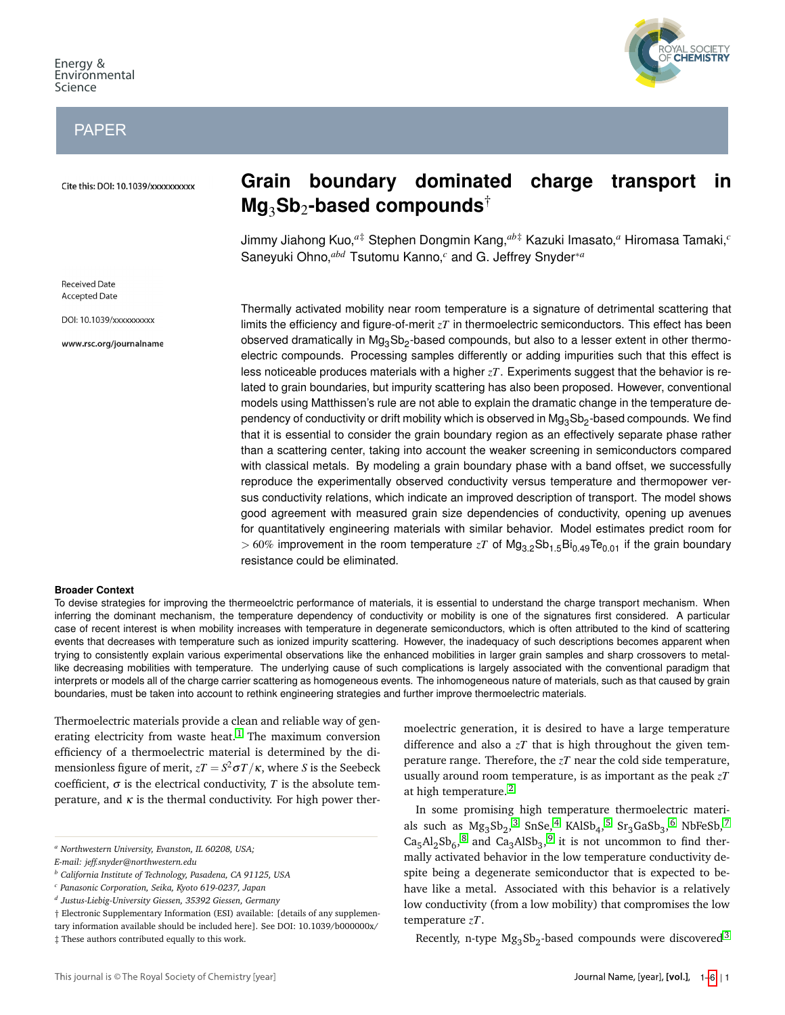# PAPER

Cite this: DOI: 10.1039/xxxxxxxxxx

**Received Date Accepted Date** 

DOI: 10.1039/xxxxxxxxxx

www.rsc.org/journalname



Jimmy Jiahong Kuo,*a*‡ Stephen Dongmin Kang,*ab*‡ Kazuki Imasato,*<sup>a</sup>* Hiromasa Tamaki,*<sup>c</sup>* Saneyuki Ohno,*abd* Tsutomu Kanno,*<sup>c</sup>* and G. Jeffrey Snyder∗*<sup>a</sup>*

Thermally activated mobility near room temperature is a signature of detrimental scattering that limits the efficiency and figure-of-merit *zT* in thermoelectric semiconductors. This effect has been observed dramatically in Mg<sub>3</sub>Sb<sub>2</sub>-based compounds, but also to a lesser extent in other thermoelectric compounds. Processing samples differently or adding impurities such that this effect is less noticeable produces materials with a higher *zT*. Experiments suggest that the behavior is related to grain boundaries, but impurity scattering has also been proposed. However, conventional models using Matthissen's rule are not able to explain the dramatic change in the temperature dependency of conductivity or drift mobility which is observed in  ${\rm Mg_3Sb_2}$ -based compounds. We find that it is essential to consider the grain boundary region as an effectively separate phase rather than a scattering center, taking into account the weaker screening in semiconductors compared with classical metals. By modeling a grain boundary phase with a band offset, we successfully reproduce the experimentally observed conductivity versus temperature and thermopower versus conductivity relations, which indicate an improved description of transport. The model shows good agreement with measured grain size dependencies of conductivity, opening up avenues for quantitatively engineering materials with similar behavior. Model estimates predict room for  $> 60\%$  improvement in the room temperature *zT* of Mg<sub>3.2</sub>Sb<sub>1.5</sub>Bi<sub>0.49</sub>Te<sub>0.01</sub> if the grain boundary resistance could be eliminated.

#### **Broader Context**

To devise strategies for improving the thermeoelctric performance of materials, it is essential to understand the charge transport mechanism. When inferring the dominant mechanism, the temperature dependency of conductivity or mobility is one of the signatures first considered. A particular case of recent interest is when mobility increases with temperature in degenerate semiconductors, which is often attributed to the kind of scattering events that decreases with temperature such as ionized impurity scattering. However, the inadequacy of such descriptions becomes apparent when trying to consistently explain various experimental observations like the enhanced mobilities in larger grain samples and sharp crossovers to metallike decreasing mobilities with temperature. The underlying cause of such complications is largely associated with the conventional paradigm that interprets or models all of the charge carrier scattering as homogeneous events. The inhomogeneous nature of materials, such as that caused by grain boundaries, must be taken into account to rethink engineering strategies and further improve thermoelectric materials.

Thermoelectric materials provide a clean and reliable way of gen-erating electricity from waste heat.<sup>[1](#page-5-0)</sup> The maximum conversion efficiency of a thermoelectric material is determined by the dimensionless figure of merit,  $zT = S^2 \sigma T / \kappa$ , where  $S$  is the Seebeck coefficient,  $\sigma$  is the electrical conductivity, *T* is the absolute temperature, and  $\kappa$  is the thermal conductivity. For high power ther-

This journal is © The Royal Society of Chemistry [year]

moelectric generation, it is desired to have a large temperature difference and also a *zT* that is high throughout the given temperature range. Therefore, the *zT* near the cold side temperature, usually around room temperature, is as important as the peak *zT* at high temperature. [2](#page-5-1)

In some promising high temperature thermoelectric materials such as  $Mg_3Sb_2^3$  $Mg_3Sb_2^3$  $Mg_3Sb_2^3$  SnSe,  $4$  KAlSb<sub>4</sub>,  $5$  Sr<sub>3</sub>GaSb<sub>3</sub>,  $6$  NbFeSb,  $7$  $Ca<sub>5</sub>Al<sub>2</sub>Sb<sub>6</sub>$ ,  $8$  and  $Ca<sub>3</sub>AlSb<sub>3</sub>$ ,  $9$  it is not uncommon to find thermally activated behavior in the low temperature conductivity despite being a degenerate semiconductor that is expected to behave like a metal. Associated with this behavior is a relatively low conductivity (from a low mobility) that compromises the low temperature *zT*.

Recently, n-type  $Mg_3Sb_2$  $Mg_3Sb_2$  $Mg_3Sb_2$ -based compounds were discovered<sup>3</sup>



*<sup>a</sup> Northwestern University, Evanston, IL 60208, USA;*

*E-mail: jeff.snyder@northwestern.edu*

*<sup>b</sup> California Institute of Technology, Pasadena, CA 91125, USA*

*<sup>c</sup> Panasonic Corporation, Seika, Kyoto 619-0237, Japan*

*d Justus-Liebig-University Giessen, 35392 Giessen, Germany*

<sup>†</sup> Electronic Supplementary Information (ESI) available: [details of any supplementary information available should be included here]. See DOI: 10.1039/b000000x/

<sup>‡</sup> These authors contributed equally to this work.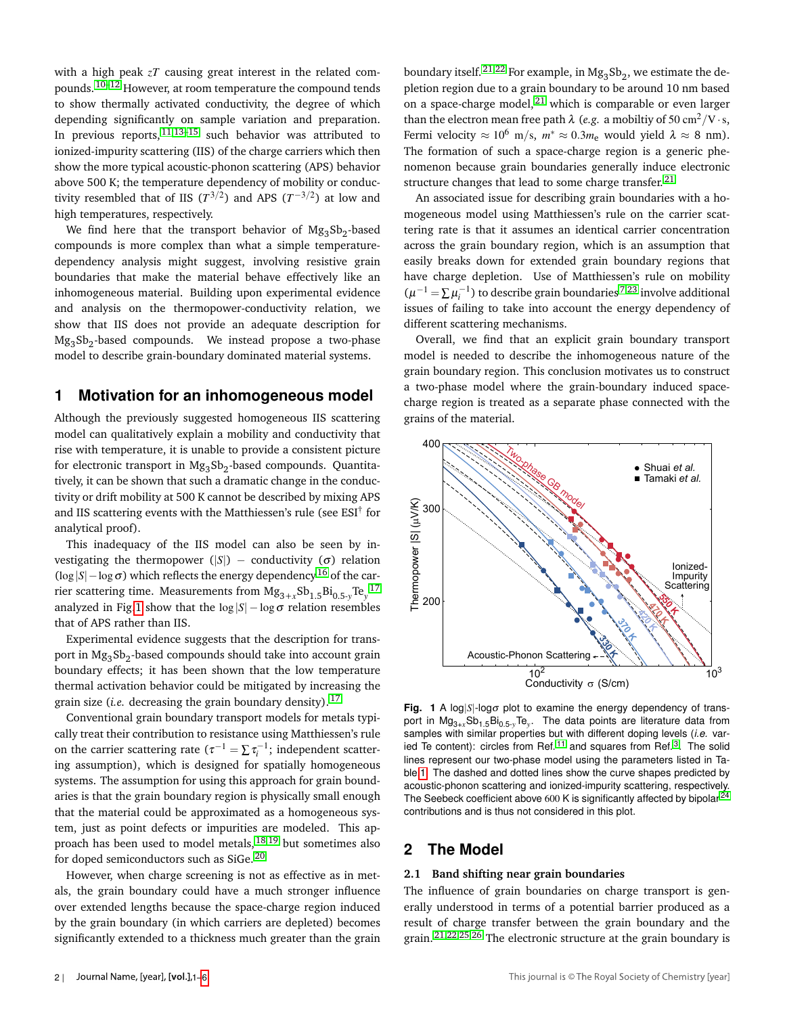with a high peak  $zT$  causing great interest in the related com-pounds. <sup>[10](#page-5-10)[–12](#page-5-11)</sup> However, at room temperature the compound tends to show thermally activated conductivity, the degree of which depending significantly on sample variation and preparation. In previous reports,  $11,13-15$  $11,13-15$  $11,13-15$  such behavior was attributed to ionized-impurity scattering (IIS) of the charge carriers which then show the more typical acoustic-phonon scattering (APS) behavior above 500 K; the temperature dependency of mobility or conductivity resembled that of IIS  $(T^{3/2})$  and APS  $(T^{-3/2})$  at low and high temperatures, respectively.

We find here that the transport behavior of  $Mg_3Sb_2$ -based compounds is more complex than what a simple temperaturedependency analysis might suggest, involving resistive grain boundaries that make the material behave effectively like an inhomogeneous material. Building upon experimental evidence and analysis on the thermopower-conductivity relation, we show that IIS does not provide an adequate description for Mg<sup>3</sup> Sb<sup>2</sup> -based compounds. We instead propose a two-phase model to describe grain-boundary dominated material systems.

### **1 Motivation for an inhomogeneous model**

Although the previously suggested homogeneous IIS scattering model can qualitatively explain a mobility and conductivity that rise with temperature, it is unable to provide a consistent picture for electronic transport in  $Mg_3Sb_2$ -based compounds. Quantitatively, it can be shown that such a dramatic change in the conductivity or drift mobility at 500 K cannot be described by mixing APS and IIS scattering events with the Matthiessen's rule (see ESI<sup>†</sup> for analytical proof).

This inadequacy of the IIS model can also be seen by investigating the thermopower (|S|) – conductivity ( $\sigma$ ) relation  $(\log |S| - \log \sigma)$  which reflects the energy dependency <sup>[16](#page-5-15)</sup> of the carrier scattering time. Measurements from  $Mg_{3+x}Sb_{1.5}Bi_{0.5-y}Te_{y}^{-17}$  $Mg_{3+x}Sb_{1.5}Bi_{0.5-y}Te_{y}^{-17}$  $Mg_{3+x}Sb_{1.5}Bi_{0.5-y}Te_{y}^{-17}$ analyzed in Fig[.1](#page-1-0) show that the  $log|S| - log \sigma$  relation resembles that of APS rather than IIS.

Experimental evidence suggests that the description for transport in Mg<sub>3</sub>Sb<sub>2</sub>-based compounds should take into account grain boundary effects; it has been shown that the low temperature thermal activation behavior could be mitigated by increasing the grain size (*i.e.* decreasing the grain boundary density). [17](#page-5-16)

Conventional grain boundary transport models for metals typically treat their contribution to resistance using Matthiessen's rule on the carrier scattering rate  $(\tau^{-1} = \sum \tau_i^{-1})$ ; independent scattering assumption), which is designed for spatially homogeneous systems. The assumption for using this approach for grain boundaries is that the grain boundary region is physically small enough that the material could be approximated as a homogeneous system, just as point defects or impurities are modeled. This approach has been used to model metals,  $18,19$  $18,19$  but sometimes also for doped semiconductors such as SiGe. [20](#page-5-19)

However, when charge screening is not as effective as in metals, the grain boundary could have a much stronger influence over extended lengths because the space-charge region induced by the grain boundary (in which carriers are depleted) becomes significantly extended to a thickness much greater than the grain

boundary itself.  $^{21,22}$  $^{21,22}$  $^{21,22}$  $^{21,22}$  For example, in  $Mg_3Sb_2$ , we estimate the depletion region due to a grain boundary to be around 10 nm based on a space-charge model,  $21$  which is comparable or even larger than the electron mean free path  $\lambda$  (*e.g.* a mobiltiy of 50 cm<sup>2</sup>/V · s, Fermi velocity  $\approx 10^6$  m/s,  $m^* \approx 0.3 m_e$  would yield  $\lambda \approx 8$  nm). The formation of such a space-charge region is a generic phenomenon because grain boundaries generally induce electronic structure changes that lead to some charge transfer.  $21$ 

An associated issue for describing grain boundaries with a homogeneous model using Matthiessen's rule on the carrier scattering rate is that it assumes an identical carrier concentration across the grain boundary region, which is an assumption that easily breaks down for extended grain boundary regions that have charge depletion. Use of Matthiessen's rule on mobility  $(\mu^{-1} = \sum \mu_i^{-1})$  to describe grain boundaries<sup>[7](#page-5-6)[,23](#page-5-22)</sup> involve additional issues of failing to take into account the energy dependency of different scattering mechanisms.

Overall, we find that an explicit grain boundary transport model is needed to describe the inhomogeneous nature of the grain boundary region. This conclusion motivates us to construct a two-phase model where the grain-boundary induced spacecharge region is treated as a separate phase connected with the grains of the material.

<span id="page-1-0"></span>

**Fig. 1** A log|*S*|-logσ plot to examine the energy dependency of transport in Mg<sub>3+x</sub>Sb<sub>1.5</sub>Bi<sub>0.5-y</sub>Te<sub>y</sub>. The data points are literature data from samples with similar properties but with different doping levels (*i.e.* var-ied Te content): circles from Ref.<sup>[11](#page-5-12)</sup> and squares from Ref.<sup>[3](#page-5-2)</sup>. The solid lines represent our two-phase model using the parameters listed in Table[.1.](#page-3-0) The dashed and dotted lines show the curve shapes predicted by acoustic-phonon scattering and ionized-impurity scattering, respectively. The Seebeck coefficient above 600 K is significantly affected by bipolar<sup>[24](#page-5-23)</sup> contributions and is thus not considered in this plot.

### **2 The Model**

#### **2.1 Band shifting near grain boundaries**

The influence of grain boundaries on charge transport is generally understood in terms of a potential barrier produced as a result of charge transfer between the grain boundary and the grain. [21,](#page-5-20)[22](#page-5-21)[,25](#page-5-24)[,26](#page-5-25) The electronic structure at the grain boundary is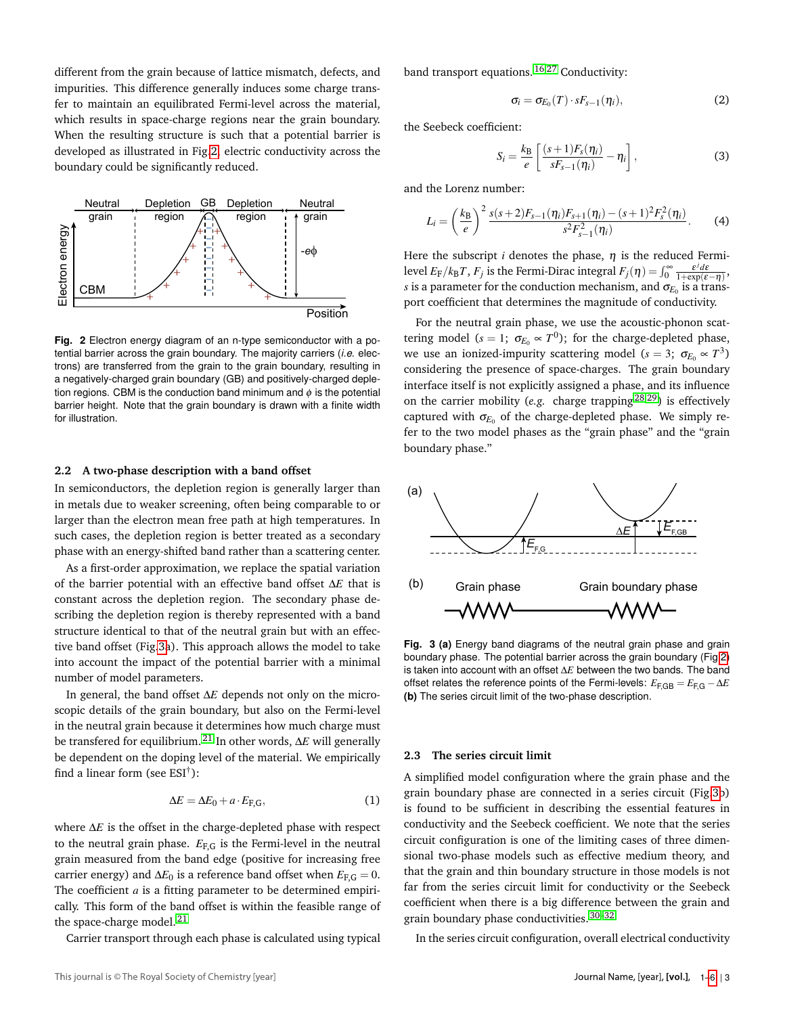different from the grain because of lattice mismatch, defects, and impurities. This difference generally induces some charge transfer to maintain an equilibrated Fermi-level across the material, which results in space-charge regions near the grain boundary. When the resulting structure is such that a potential barrier is developed as illustrated in Fig[.2,](#page-2-0) electric conductivity across the boundary could be significantly reduced.

<span id="page-2-0"></span>

**Fig. 2** Electron energy diagram of an n-type semiconductor with a potential barrier across the grain boundary. The majority carriers (*i.e.* electrons) are transferred from the grain to the grain boundary, resulting in a negatively-charged grain boundary (GB) and positively-charged depletion regions. CBM is the conduction band minimum and  $\phi$  is the potential barrier height. Note that the grain boundary is drawn with a finite width for illustration.

#### **2.2 A two-phase description with a band offset**

In semiconductors, the depletion region is generally larger than in metals due to weaker screening, often being comparable to or larger than the electron mean free path at high temperatures. In such cases, the depletion region is better treated as a secondary phase with an energy-shifted band rather than a scattering center.

As a first-order approximation, we replace the spatial variation of the barrier potential with an effective band offset ∆*E* that is constant across the depletion region. The secondary phase describing the depletion region is thereby represented with a band structure identical to that of the neutral grain but with an effective band offset (Fig[.3a](#page-2-1)). This approach allows the model to take into account the impact of the potential barrier with a minimal number of model parameters.

In general, the band offset ∆*E* depends not only on the microscopic details of the grain boundary, but also on the Fermi-level in the neutral grain because it determines how much charge must be transfered for equilibrium. [21](#page-5-20) In other words, ∆*E* will generally be dependent on the doping level of the material. We empirically find a linear form (see  $ESI^{\dagger}$ ):

<span id="page-2-3"></span>
$$
\Delta E = \Delta E_0 + a \cdot E_{F,G},\tag{1}
$$

where ∆*E* is the offset in the charge-depleted phase with respect to the neutral grain phase.  $E_{F,G}$  is the Fermi-level in the neutral grain measured from the band edge (positive for increasing free carrier energy) and  $\Delta E_0$  is a reference band offset when  $E_{\text{F,G}} = 0$ . The coefficient *a* is a fitting parameter to be determined empirically. This form of the band offset is within the feasible range of the space-charge model.  $21$ 

Carrier transport through each phase is calculated using typical

band transport equations. [16,](#page-5-15)[27](#page-5-26) Conductivity:

$$
\sigma_i = \sigma_{E_0}(T) \cdot sF_{s-1}(\eta_i), \qquad (2)
$$

the Seebeck coefficient:

<span id="page-2-2"></span>
$$
S_i = \frac{k_{\rm B}}{e} \left[ \frac{(s+1)F_s(\eta_i)}{sF_{s-1}(\eta_i)} - \eta_i \right],\tag{3}
$$

and the Lorenz number:

$$
L_i = \left(\frac{k_{\rm B}}{e}\right)^2 \frac{s(s+2)F_{s-1}(\eta_i)F_{s+1}(\eta_i) - (s+1)^2 F_s^2(\eta_i)}{s^2 F_{s-1}^2(\eta_i)}.
$$
 (4)

Here the subscript *i* denotes the phase,  $\eta$  is the reduced Fermilevel  $E_F/k_BT$ ,  $F_j$  is the Fermi-Dirac integral  $F_j(\eta) = \int_0^\infty \frac{\varepsilon^j d\varepsilon}{1 + \exp(\varepsilon - \eta)},$  $s$  is a parameter for the conduction mechanism, and  $\sigma_{\!E_0}$  is a transport coefficient that determines the magnitude of conductivity.

For the neutral grain phase, we use the acoustic-phonon scattering model ( $s = 1$ ;  $\sigma_{E_0} \propto T^0$ ); for the charge-depleted phase, we use an ionized-impurity scattering model ( $s = 3$ ;  $\sigma_{E_0} \propto T^3$ ) considering the presence of space-charges. The grain boundary interface itself is not explicitly assigned a phase, and its influence on the carrier mobility (*e.g.* charge trapping [28,](#page-5-27)[29](#page-5-28)) is effectively captured with  $\sigma_{E_0}$  of the charge-depleted phase. We simply refer to the two model phases as the "grain phase" and the "grain boundary phase."

<span id="page-2-1"></span>

**Fig. 3 (a)** Energy band diagrams of the neutral grain phase and grain boundary phase. The potential barrier across the grain boundary (Fig[.2\)](#page-2-0) is taken into account with an offset ∆*E* between the two bands. The band offset relates the reference points of the Fermi-levels:  $E_{\text{F,GB}} = E_{\text{F,G}} - \Delta E$ **(b)** The series circuit limit of the two-phase description.

#### **2.3 The series circuit limit**

A simplified model configuration where the grain phase and the grain boundary phase are connected in a series circuit (Fig[.3b](#page-2-1)) is found to be sufficient in describing the essential features in conductivity and the Seebeck coefficient. We note that the series circuit configuration is one of the limiting cases of three dimensional two-phase models such as effective medium theory, and that the grain and thin boundary structure in those models is not far from the series circuit limit for conductivity or the Seebeck coefficient when there is a big difference between the grain and grain boundary phase conductivities. [30–](#page-5-29)[32](#page-5-30)

In the series circuit configuration, overall electrical conductivity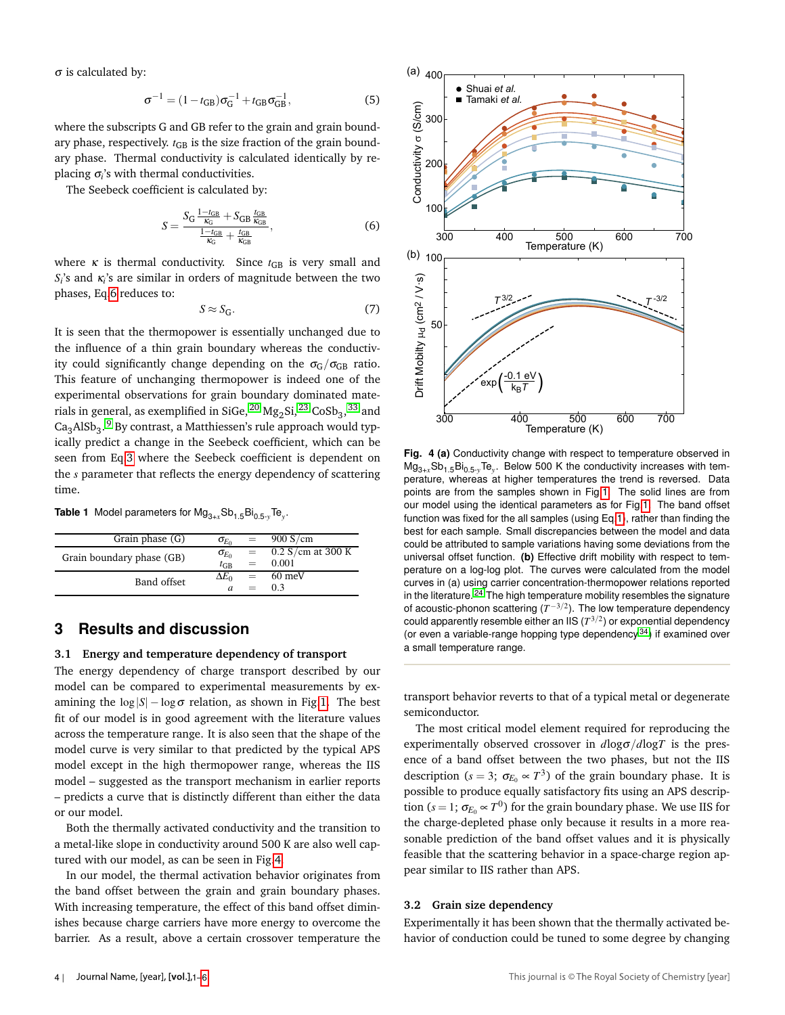$\sigma$  is calculated by:

$$
\sigma^{-1} = (1 - t_{GB})\sigma_G^{-1} + t_{GB}\sigma_{GB}^{-1},
$$
\n(5)

where the subscripts G and GB refer to the grain and grain boundary phase, respectively.  $t_{\text{GB}}$  is the size fraction of the grain boundary phase. Thermal conductivity is calculated identically by replacing σ*i* 's with thermal conductivities.

The Seebeck coefficient is calculated by:

<span id="page-3-1"></span>
$$
S = \frac{S_{\rm G} \frac{1 - t_{\rm GB}}{K_{\rm G}} + S_{\rm GB} \frac{t_{\rm GB}}{K_{\rm GB}}}{\frac{1 - t_{\rm GB}}{K_{\rm G}} + \frac{t_{\rm GB}}{K_{\rm GB}}},\tag{6}
$$

where  $\kappa$  is thermal conductivity. Since  $t_{GB}$  is very small and  $S_i$ 's and  $\kappa_i$ 's are similar in orders of magnitude between the two phases, Eq[.6](#page-3-1) reduces to:

$$
S \approx S_{\rm G}.\tag{7}
$$

It is seen that the thermopower is essentially unchanged due to the influence of a thin grain boundary whereas the conductivity could significantly change depending on the  $\sigma$ <sub>G</sub>/ $\sigma$ <sub>GB</sub> ratio. This feature of unchanging thermopower is indeed one of the experimental observations for grain boundary dominated materials in general, as exemplified in SiGe,  $^{20}$  $^{20}$  $^{20}$  Mg<sub>2</sub>Si,  $^{23}$  $^{23}$  $^{23}$  CoSb<sub>3</sub>,  $^{33}$  $^{33}$  $^{33}$  and  $\text{Ca}_{3}\text{AlSb}_{3}$ .  $^{9}$  $^{9}$  $^{9}$  By contrast, a Matthiessen's rule approach would typically predict a change in the Seebeck coefficient, which can be seen from Eq[.3](#page-2-2) where the Seebeck coefficient is dependent on the *s* parameter that reflects the energy dependency of scattering time.

<span id="page-3-0"></span>**Table 1** Model parameters for Mg3+*x*Sb1.5Bi0.5-*y*Te*<sup>y</sup>* .

| Grain phase (G)           | $\sigma_{E_0}$     |     | 900 S/cm            |
|---------------------------|--------------------|-----|---------------------|
| Grain boundary phase (GB) | $\sigma_{E_0}$     |     | $0.2$ S/cm at 300 K |
|                           | $t$ <sub>G</sub> B | $=$ | 0.001               |
| Band offset               | $\Delta E_0$       | $=$ | 60 meV              |
|                           |                    |     | 0.3                 |

### **3 Results and discussion**

#### **3.1 Energy and temperature dependency of transport**

The energy dependency of charge transport described by our model can be compared to experimental measurements by examining the  $log|S| - log \sigma$  relation, as shown in Fig[.1.](#page-1-0) The best fit of our model is in good agreement with the literature values across the temperature range. It is also seen that the shape of the model curve is very similar to that predicted by the typical APS model except in the high thermopower range, whereas the IIS model – suggested as the transport mechanism in earlier reports – predicts a curve that is distinctly different than either the data or our model.

Both the thermally activated conductivity and the transition to a metal-like slope in conductivity around 500 K are also well captured with our model, as can be seen in Fig[.4.](#page-3-2)

In our model, the thermal activation behavior originates from the band offset between the grain and grain boundary phases. With increasing temperature, the effect of this band offset diminishes because charge carriers have more energy to overcome the barrier. As a result, above a certain crossover temperature the

<span id="page-3-2"></span>

**Fig. 4 (a)** Conductivity change with respect to temperature observed in Mg3+*x*Sb1.5Bi0.5-*y*Te*<sup>y</sup>* . Below 500 K the conductivity increases with temperature, whereas at higher temperatures the trend is reversed. Data points are from the samples shown in Fig[.1.](#page-1-0) The solid lines are from our model using the identical parameters as for Fig[.1.](#page-1-0) The band offset function was fixed for the all samples (using Eq[.1\)](#page-2-3), rather than finding the best for each sample. Small discrepancies between the model and data could be attributed to sample variations having some deviations from the universal offset function. **(b)** Effective drift mobility with respect to temperature on a log-log plot. The curves were calculated from the model curves in (a) using carrier concentration-thermopower relations reported in the literature.  $24$  The high temperature mobility resembles the signature of acoustic-phonon scattering  $(T^{-3/2})$ . The low temperature dependency could apparently resemble either an IIS  $(T^{3/2})$  or exponential dependency (or even a variable-range hopping type dependency [34](#page-5-32)) if examined over a small temperature range.

transport behavior reverts to that of a typical metal or degenerate semiconductor.

The most critical model element required for reproducing the experimentally observed crossover in  $d \log \sigma / d \log T$  is the presence of a band offset between the two phases, but not the IIS description ( $s = 3$ ;  $\sigma_{E_0} \propto T^3$ ) of the grain boundary phase. It is possible to produce equally satisfactory fits using an APS description ( $s=1;$   $\sigma_{E_0}\!\propto\! T^0)$  for the grain boundary phase. We use IIS for the charge-depleted phase only because it results in a more reasonable prediction of the band offset values and it is physically feasible that the scattering behavior in a space-charge region appear similar to IIS rather than APS.

#### **3.2 Grain size dependency**

Experimentally it has been shown that the thermally activated behavior of conduction could be tuned to some degree by changing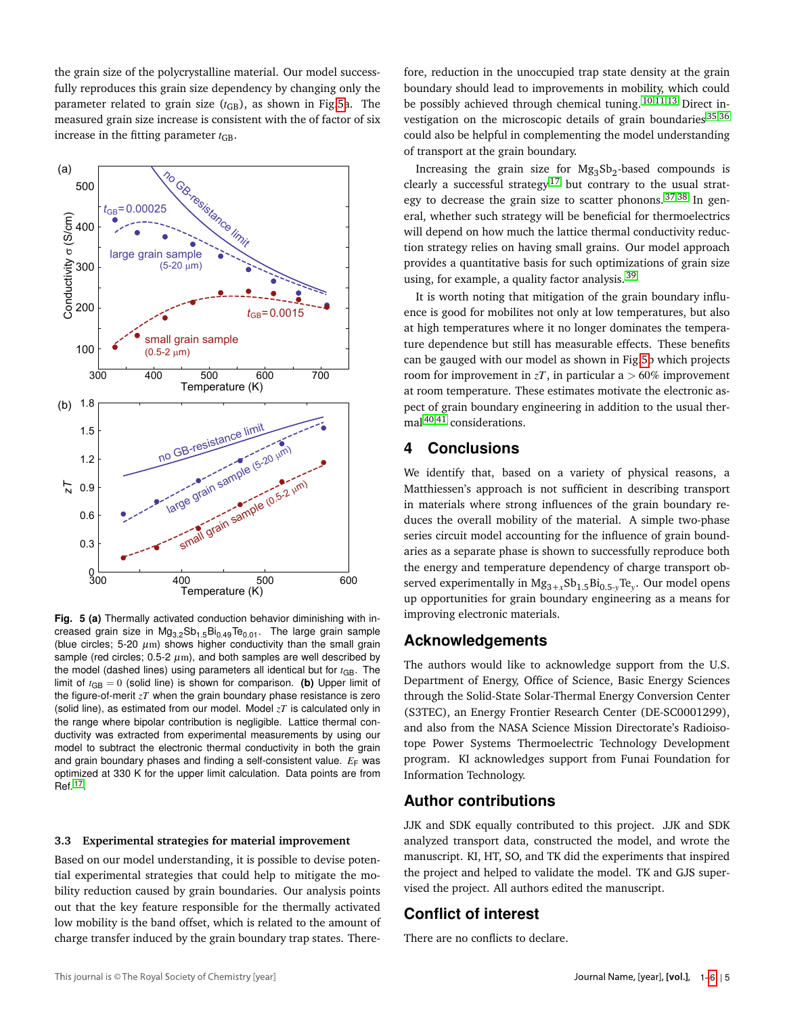the grain size of the polycrystalline material. Our model successfully reproduces this grain size dependency by changing only the parameter related to grain size  $(t_{\text{GB}})$ , as shown in Fig[.5a](#page-4-0). The measured grain size increase is consistent with the of factor of six increase in the fitting parameter  $t_{\text{GB}}$ .

<span id="page-4-0"></span>

**Fig. 5 (a)** Thermally activated conduction behavior diminishing with increased grain size in  $Mg_{3.2}Sb_{1.5}Bi_{0.49}Te_{0.01}$ . The large grain sample (blue circles; 5-20  $\mu$ m) shows higher conductivity than the small grain sample (red circles; 0.5-2  $\mu$ m), and both samples are well described by the model (dashed lines) using parameters all identical but for  $t_{\text{GB}}$ . The limit of  $t_{GB} = 0$  (solid line) is shown for comparison. **(b)** Upper limit of the figure-of-merit *zT* when the grain boundary phase resistance is zero (solid line), as estimated from our model. Model *zT* is calculated only in the range where bipolar contribution is negligible. Lattice thermal conductivity was extracted from experimental measurements by using our model to subtract the electronic thermal conductivity in both the grain and grain boundary phases and finding a self-consistent value.  $E_F$  was optimized at 330 K for the upper limit calculation. Data points are from Ref. [17](#page-5-16) .

#### **3.3 Experimental strategies for material improvement**

Based on our model understanding, it is possible to devise potential experimental strategies that could help to mitigate the mobility reduction caused by grain boundaries. Our analysis points out that the key feature responsible for the thermally activated low mobility is the band offset, which is related to the amount of charge transfer induced by the grain boundary trap states. Therefore, reduction in the unoccupied trap state density at the grain boundary should lead to improvements in mobility, which could be possibly achieved through chemical tuning. [10,](#page-5-10)[11,](#page-5-12)[13](#page-5-13) Direct investigation on the microscopic details of grain boundaries [35](#page-5-33)[,36](#page-5-34) could also be helpful in complementing the model understanding of transport at the grain boundary.

Increasing the grain size for  $Mg_3Sb_2$ -based compounds is clearly a successful strategy<sup>[17](#page-5-16)</sup> but contrary to the usual strategy to decrease the grain size to scatter phonons.  $37,38$  $37,38$  In general, whether such strategy will be beneficial for thermoelectrics will depend on how much the lattice thermal conductivity reduction strategy relies on having small grains. Our model approach provides a quantitative basis for such optimizations of grain size using, for example, a quality factor analysis.<sup>[39](#page-5-37)</sup>

It is worth noting that mitigation of the grain boundary influence is good for mobilites not only at low temperatures, but also at high temperatures where it no longer dominates the temperature dependence but still has measurable effects. These benefits can be gauged with our model as shown in Fig[.5b](#page-4-0) which projects room for improvement in  $zT$ , in particular a  $> 60\%$  improvement at room temperature. These estimates motivate the electronic aspect of grain boundary engineering in addition to the usual thermal [40,](#page-5-38)[41](#page-5-39) considerations.

### **4 Conclusions**

We identify that, based on a variety of physical reasons, a Matthiessen's approach is not sufficient in describing transport in materials where strong influences of the grain boundary reduces the overall mobility of the material. A simple two-phase series circuit model accounting for the influence of grain boundaries as a separate phase is shown to successfully reproduce both the energy and temperature dependency of charge transport observed experimentally in Mg3+*<sup>x</sup>* Sb1.5Bi0.5-*<sup>y</sup>* Te*<sup>y</sup>* . Our model opens up opportunities for grain boundary engineering as a means for improving electronic materials.

### **Acknowledgements**

The authors would like to acknowledge support from the U.S. Department of Energy, Office of Science, Basic Energy Sciences through the Solid-State Solar-Thermal Energy Conversion Center (S3TEC), an Energy Frontier Research Center (DE-SC0001299), and also from the NASA Science Mission Directorate's Radioisotope Power Systems Thermoelectric Technology Development program. KI acknowledges support from Funai Foundation for Information Technology.

### **Author contributions**

JJK and SDK equally contributed to this project. JJK and SDK analyzed transport data, constructed the model, and wrote the manuscript. KI, HT, SO, and TK did the experiments that inspired the project and helped to validate the model. TK and GJS supervised the project. All authors edited the manuscript.

## **Conflict of interest**

There are no conflicts to declare.